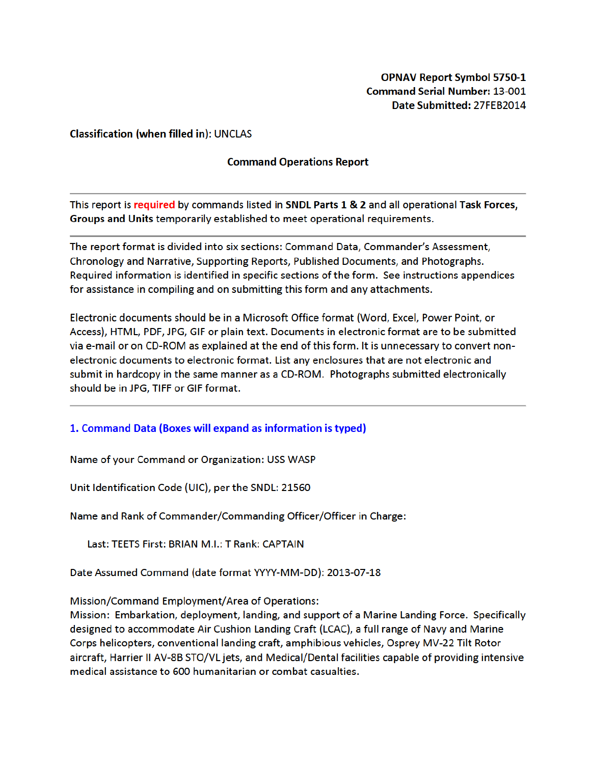## **Classification (when filled in): UNCLAS**

## **Command Operations Report**

This report is required by commands listed in SNDL Parts 1 & 2 and all operational Task Forces, Groups and Units temporarily established to meet operational requirements.

The report format is divided into six sections: Command Data, Commander's Assessment, Chronology and Narrative, Supporting Reports, Published Documents, and Photographs. Required information is identified in specific sections of the form. See instructions appendices for assistance in compiling and on submitting this form and any attachments.

Electronic documents should be in a Microsoft Office format (Word, Excel, Power Point, or Access), HTML, PDF, JPG, GIF or plain text. Documents in electronic format are to be submitted via e-mail or on CD-ROM as explained at the end of this form. It is unnecessary to convert nonelectronic documents to electronic format. List any enclosures that are not electronic and submit in hardcopy in the same manner as a CD-ROM. Photographs submitted electronically should be in JPG, TIFF or GIF format.

# 1. Command Data (Boxes will expand as information is typed)

Name of your Command or Organization: USS WASP

Unit Identification Code (UIC), per the SNDL: 21560

Name and Rank of Commander/Commanding Officer/Officer in Charge:

Last: TEETS First: BRIAN M.I.: T Rank: CAPTAIN

Date Assumed Command (date format YYYY-MM-DD): 2013-07-18

Mission/Command Employment/Area of Operations:

Mission: Embarkation, deployment, landing, and support of a Marine Landing Force. Specifically designed to accommodate Air Cushion Landing Craft (LCAC), a full range of Navy and Marine Corps helicopters, conventional landing craft, amphibious vehicles, Osprey MV-22 Tilt Rotor aircraft, Harrier II AV-8B STO/VL jets, and Medical/Dental facilities capable of providing intensive medical assistance to 600 humanitarian or combat casualties.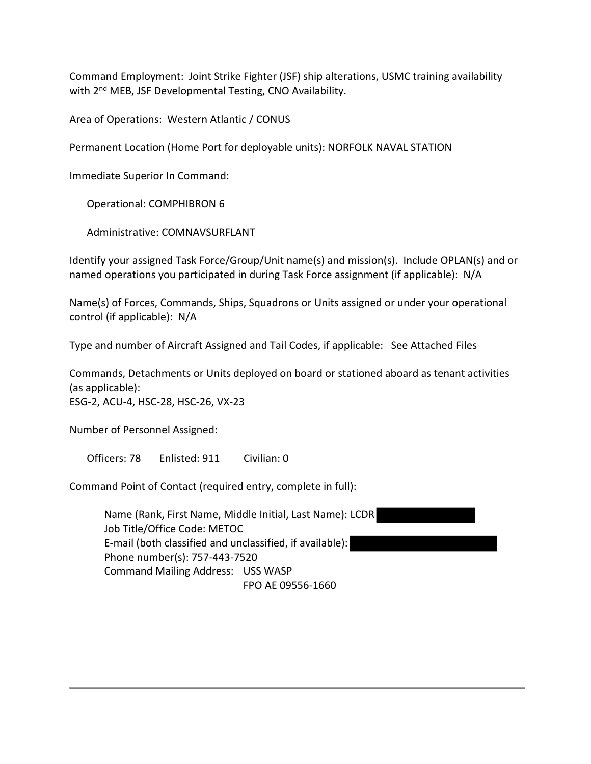Command Employment: Joint Strike Fighter (JSF) ship alterations, USMC training availability with 2<sup>nd</sup> MEB, JSF Developmental Testing, CNO Availability.

Area of Operations: Western Atlantic / CONUS

Permanent Location (Home Port for deployable units): NORFOLK NAVAL STATION

Immediate Superior In Command:

Operational: COMPHIBRON 6

Administrative: COMNAVSURFLANT

Identify your assigned Task Force/Group/Unit name(s) and mission(s). Include OPLAN(s) and or named operations you participated in during Task Force assignment (if applicable): N/A

Name(s) of Forces, Commands, Ships, Squadrons or Units assigned or under your operational control (if applicable): N/A

Type and number of Aircraft Assigned and Tail Codes, if applicable: See Attached Files

Commands, Detachments or Units deployed on board or stationed aboard as tenant activities (as applicable): ESG-2, ACU-4, HSC-28, HSC-26, VX-23

Number of Personnel Assigned:

Officers: 78 Enlisted: 911 Civilian: 0

Command Point of Contact (required entry, complete in full):

Name (Rank, First Name, Middle Initial, Last Name): LCDR Job Title/Office Code: METOC E-mail (both classified and unclassified, if available): Phone number(s): 757-443-7520 Command Mailing Address: USS WASP FPO AE 09556-1660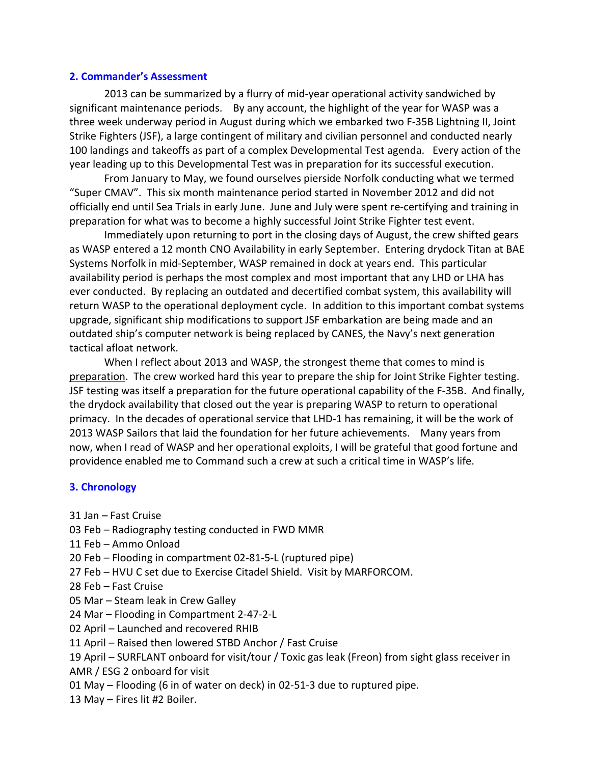### **2. Commander's Assessment**

2013 can be summarized by a flurry of mid-year operational activity sandwiched by significant maintenance periods. By any account, the highlight of the year for WASP was a three week underway period in August during which we embarked two F-35B Lightning II, Joint Strike Fighters (JSF), a large contingent of military and civilian personnel and conducted nearly 100 landings and takeoffs as part of a complex Developmental Test agenda. Every action of the year leading up to this Developmental Test was in preparation for its successful execution.

From January to May, we found ourselves pierside Norfolk conducting what we termed "Super CMAV". This six month maintenance period started in November 2012 and did not officially end until Sea Trials in early June. June and July were spent re-certifying and training in preparation for what was to become a highly successful Joint Strike Fighter test event.

Immediately upon returning to port in the closing days of August, the crew shifted gears as WASP entered a 12 month CNO Availability in early September. Entering drydock Titan at BAE Systems Norfolk in mid-September, WASP remained in dock at years end. This particular availability period is perhaps the most complex and most important that any LHD or LHA has ever conducted. By replacing an outdated and decertified combat system, this availability will return WASP to the operational deployment cycle. In addition to this important combat systems upgrade, significant ship modifications to support JSF embarkation are being made and an outdated ship's computer network is being replaced by CANES, the Navy's next generation tactical afloat network.

When I reflect about 2013 and WASP, the strongest theme that comes to mind is preparation. The crew worked hard this year to prepare the ship for Joint Strike Fighter testing. JSF testing was itself a preparation for the future operational capability of the F-35B. And finally, the drydock availability that closed out the year is preparing WASP to return to operational primacy. In the decades of operational service that LHD-1 has remaining, it will be the work of 2013 WASP Sailors that laid the foundation for her future achievements. Many years from now, when I read of WASP and her operational exploits, I will be grateful that good fortune and providence enabled me to Command such a crew at such a critical time in WASP's life.

# **3. Chronology**

- 31 Jan Fast Cruise
- 03 Feb Radiography testing conducted in FWD MMR
- 11 Feb Ammo Onload
- 20 Feb Flooding in compartment 02-81-5-L (ruptured pipe)
- 27 Feb HVU C set due to Exercise Citadel Shield. Visit by MARFORCOM.
- 28 Feb Fast Cruise
- 05 Mar Steam leak in Crew Galley
- 24 Mar Flooding in Compartment 2-47-2-L
- 02 April Launched and recovered RHIB
- 11 April Raised then lowered STBD Anchor / Fast Cruise
- 19 April SURFLANT onboard for visit/tour / Toxic gas leak (Freon) from sight glass receiver in AMR / ESG 2 onboard for visit
- 01 May Flooding (6 in of water on deck) in 02-51-3 due to ruptured pipe.
- 13 May Fires lit #2 Boiler.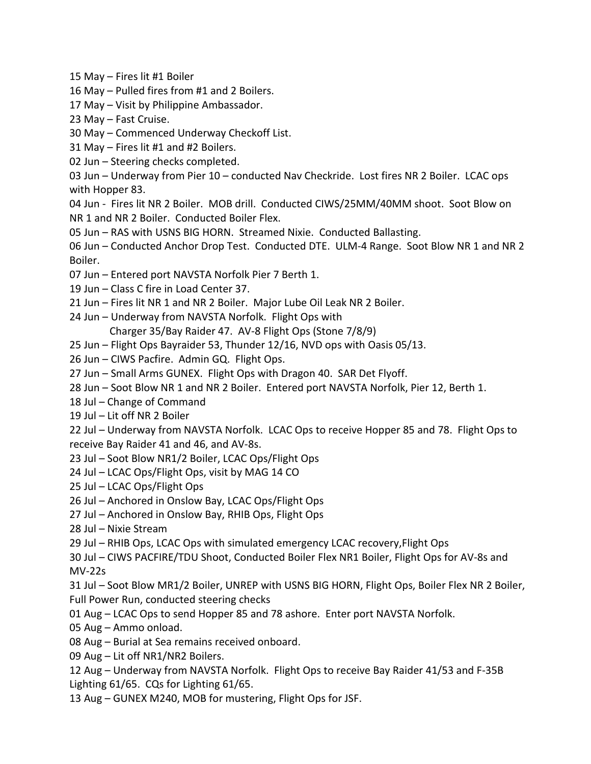15 May – Fires lit #1 Boiler

16 May – Pulled fires from #1 and 2 Boilers.

17 May – Visit by Philippine Ambassador.

23 May – Fast Cruise.

30 May – Commenced Underway Checkoff List.

31 May – Fires lit #1 and #2 Boilers.

02 Jun – Steering checks completed.

03 Jun – Underway from Pier 10 – conducted Nav Checkride. Lost fires NR 2 Boiler. LCAC ops with Hopper 83.

04 Jun - Fires lit NR 2 Boiler. MOB drill. Conducted CIWS/25MM/40MM shoot. Soot Blow on NR 1 and NR 2 Boiler. Conducted Boiler Flex.

05 Jun – RAS with USNS BIG HORN. Streamed Nixie. Conducted Ballasting.

06 Jun – Conducted Anchor Drop Test. Conducted DTE. ULM-4 Range. Soot Blow NR 1 and NR 2 Boiler.

- 07 Jun Entered port NAVSTA Norfolk Pier 7 Berth 1.
- 19 Jun Class C fire in Load Center 37.
- 21 Jun Fires lit NR 1 and NR 2 Boiler. Major Lube Oil Leak NR 2 Boiler.
- 24 Jun Underway from NAVSTA Norfolk. Flight Ops with

Charger 35/Bay Raider 47. AV-8 Flight Ops (Stone 7/8/9)

- 25 Jun Flight Ops Bayraider 53, Thunder 12/16, NVD ops with Oasis 05/13.
- 26 Jun CIWS Pacfire. Admin GQ. Flight Ops.
- 27 Jun Small Arms GUNEX. Flight Ops with Dragon 40. SAR Det Flyoff.
- 28 Jun Soot Blow NR 1 and NR 2 Boiler. Entered port NAVSTA Norfolk, Pier 12, Berth 1.
- 18 Jul Change of Command
- 19 Jul Lit off NR 2 Boiler
- 22 Jul Underway from NAVSTA Norfolk. LCAC Ops to receive Hopper 85 and 78. Flight Ops to
- receive Bay Raider 41 and 46, and AV-8s.
- 23 Jul Soot Blow NR1/2 Boiler, LCAC Ops/Flight Ops
- 24 Jul LCAC Ops/Flight Ops, visit by MAG 14 CO
- 25 Jul LCAC Ops/Flight Ops
- 26 Jul Anchored in Onslow Bay, LCAC Ops/Flight Ops
- 27 Jul Anchored in Onslow Bay, RHIB Ops, Flight Ops
- 28 Jul Nixie Stream

29 Jul – RHIB Ops, LCAC Ops with simulated emergency LCAC recovery,Flight Ops

30 Jul – CIWS PACFIRE/TDU Shoot, Conducted Boiler Flex NR1 Boiler, Flight Ops for AV-8s and MV-22s

31 Jul – Soot Blow MR1/2 Boiler, UNREP with USNS BIG HORN, Flight Ops, Boiler Flex NR 2 Boiler, Full Power Run, conducted steering checks

- 01 Aug LCAC Ops to send Hopper 85 and 78 ashore. Enter port NAVSTA Norfolk.
- 05 Aug Ammo onload.
- 08 Aug Burial at Sea remains received onboard.
- 09 Aug Lit off NR1/NR2 Boilers.
- 12 Aug Underway from NAVSTA Norfolk. Flight Ops to receive Bay Raider 41/53 and F-35B Lighting 61/65. CQs for Lighting 61/65.
- 13 Aug GUNEX M240, MOB for mustering, Flight Ops for JSF.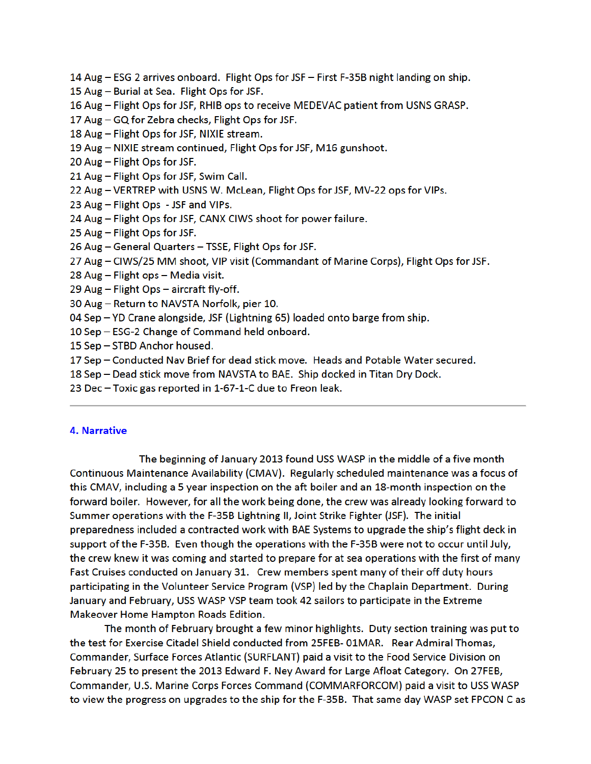- 14 Aug ESG 2 arrives onboard. Flight Ops for JSF First F-35B night landing on ship.
- 15 Aug Burial at Sea. Flight Ops for JSF.
- 16 Aug Flight Ops for JSF, RHIB ops to receive MEDEVAC patient from USNS GRASP.
- 17 Aug GQ for Zebra checks, Flight Ops for JSF.
- 18 Aug Flight Ops for JSF, NIXIE stream.
- 19 Aug NIXIE stream continued, Flight Ops for JSF, M16 gunshoot.
- 20 Aug Flight Ops for JSF.
- 21 Aug Flight Ops for JSF, Swim Call.
- 22 Aug VERTREP with USNS W. McLean, Flight Ops for JSF, MV-22 ops for VIPs.
- 23 Aug Flight Ops JSF and VIPs.
- 24 Aug Flight Ops for JSF, CANX CIWS shoot for power failure.
- 25 Aug Flight Ops for JSF.
- 26 Aug General Quarters TSSE, Flight Ops for JSF.
- 27 Aug CIWS/25 MM shoot, VIP visit (Commandant of Marine Corps), Flight Ops for JSF.
- 28 Aug Flight ops Media visit.
- 29 Aug Flight Ops aircraft fly-off.
- 30 Aug Return to NAVSTA Norfolk, pier 10.
- 04 Sep YD Crane alongside, JSF (Lightning 65) loaded onto barge from ship.
- 10 Sep ESG-2 Change of Command held onboard.
- 15 Sep STBD Anchor housed.
- 17 Sep Conducted Nav Brief for dead stick move. Heads and Potable Water secured.
- 18 Sep Dead stick move from NAVSTA to BAE. Ship docked in Titan Dry Dock.
- 23 Dec Toxic gas reported in 1-67-1-C due to Freon leak.

#### **4. Narrative**

The beginning of January 2013 found USS WASP in the middle of a five month Continuous Maintenance Availability (CMAV). Regularly scheduled maintenance was a focus of this CMAV, including a 5 year inspection on the aft boiler and an 18-month inspection on the forward boiler. However, for all the work being done, the crew was already looking forward to Summer operations with the F-35B Lightning II, Joint Strike Fighter (JSF). The initial preparedness included a contracted work with BAE Systems to upgrade the ship's flight deck in support of the F-35B. Even though the operations with the F-35B were not to occur until July, the crew knew it was coming and started to prepare for at sea operations with the first of many Fast Cruises conducted on January 31. Crew members spent many of their off duty hours participating in the Volunteer Service Program (VSP) led by the Chaplain Department. During January and February, USS WASP VSP team took 42 sailors to participate in the Extreme Makeover Home Hampton Roads Edition.

The month of February brought a few minor highlights. Duty section training was put to the test for Exercise Citadel Shield conducted from 25FEB-01MAR. Rear Admiral Thomas, Commander, Surface Forces Atlantic (SURFLANT) paid a visit to the Food Service Division on February 25 to present the 2013 Edward F. Ney Award for Large Afloat Category. On 27FEB, Commander, U.S. Marine Corps Forces Command (COMMARFORCOM) paid a visit to USS WASP to view the progress on upgrades to the ship for the F-35B. That same day WASP set FPCON C as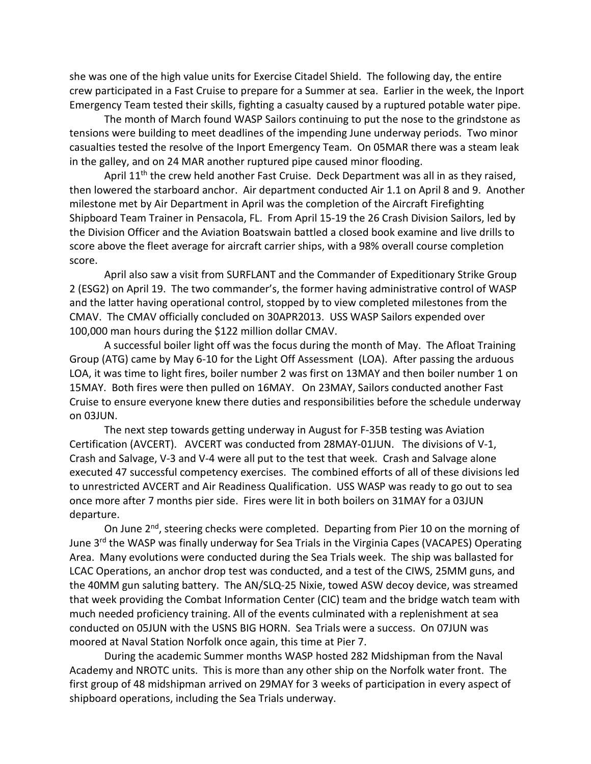she was one of the high value units for Exercise Citadel Shield. The following day, the entire crew participated in a Fast Cruise to prepare for a Summer at sea. Earlier in the week, the Inport Emergency Team tested their skills, fighting a casualty caused by a ruptured potable water pipe.

The month of March found WASP Sailors continuing to put the nose to the grindstone as tensions were building to meet deadlines of the impending June underway periods. Two minor casualties tested the resolve of the Inport Emergency Team. On 05MAR there was a steam leak in the galley, and on 24 MAR another ruptured pipe caused minor flooding.

April  $11<sup>th</sup>$  the crew held another Fast Cruise. Deck Department was all in as they raised, then lowered the starboard anchor. Air department conducted Air 1.1 on April 8 and 9. Another milestone met by Air Department in April was the completion of the Aircraft Firefighting Shipboard Team Trainer in Pensacola, FL. From April 15-19 the 26 Crash Division Sailors, led by the Division Officer and the Aviation Boatswain battled a closed book examine and live drills to score above the fleet average for aircraft carrier ships, with a 98% overall course completion score.

April also saw a visit from SURFLANT and the Commander of Expeditionary Strike Group 2 (ESG2) on April 19. The two commander's, the former having administrative control of WASP and the latter having operational control, stopped by to view completed milestones from the CMAV. The CMAV officially concluded on 30APR2013. USS WASP Sailors expended over 100,000 man hours during the \$122 million dollar CMAV.

A successful boiler light off was the focus during the month of May. The Afloat Training Group (ATG) came by May 6-10 for the Light Off Assessment (LOA). After passing the arduous LOA, it was time to light fires, boiler number 2 was first on 13MAY and then boiler number 1 on 15MAY. Both fires were then pulled on 16MAY. On 23MAY, Sailors conducted another Fast Cruise to ensure everyone knew there duties and responsibilities before the schedule underway on 03JUN.

The next step towards getting underway in August for F-35B testing was Aviation Certification (AVCERT). AVCERT was conducted from 28MAY-01JUN. The divisions of V-1, Crash and Salvage, V-3 and V-4 were all put to the test that week. Crash and Salvage alone executed 47 successful competency exercises. The combined efforts of all of these divisions led to unrestricted AVCERT and Air Readiness Qualification. USS WASP was ready to go out to sea once more after 7 months pier side. Fires were lit in both boilers on 31MAY for a 03JUN departure.

On June 2<sup>nd</sup>, steering checks were completed. Departing from Pier 10 on the morning of June 3<sup>rd</sup> the WASP was finally underway for Sea Trials in the Virginia Capes (VACAPES) Operating Area. Many evolutions were conducted during the Sea Trials week. The ship was ballasted for LCAC Operations, an anchor drop test was conducted, and a test of the CIWS, 25MM guns, and the 40MM gun saluting battery. The AN/SLQ-25 Nixie, towed ASW decoy device, was streamed that week providing the Combat Information Center (CIC) team and the bridge watch team with much needed proficiency training. All of the events culminated with a replenishment at sea conducted on 05JUN with the USNS BIG HORN. Sea Trials were a success. On 07JUN was moored at Naval Station Norfolk once again, this time at Pier 7.

During the academic Summer months WASP hosted 282 Midshipman from the Naval Academy and NROTC units. This is more than any other ship on the Norfolk water front. The first group of 48 midshipman arrived on 29MAY for 3 weeks of participation in every aspect of shipboard operations, including the Sea Trials underway.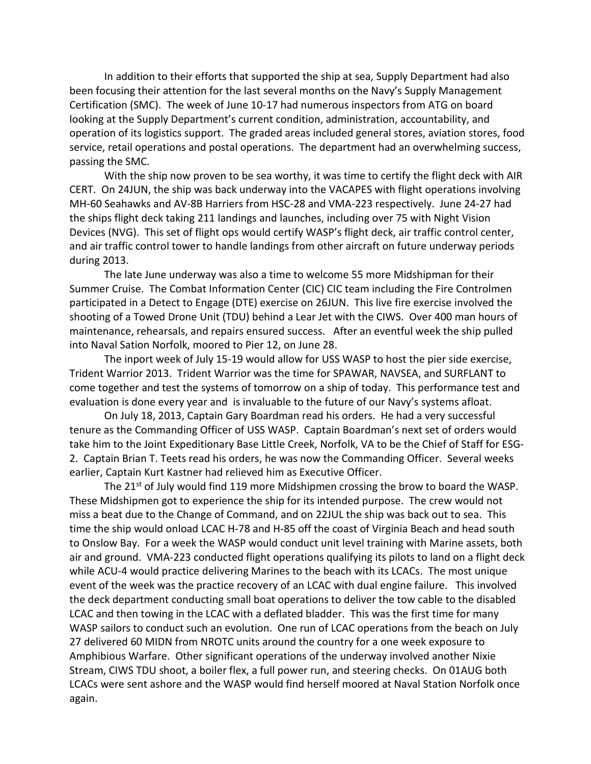In addition to their efforts that supported the ship at sea, Supply Department had also been focusing their attention for the last several months on the Navy's Supply Management Certification (SMC). The week of June 10-17 had numerous inspectors from ATG on board looking at the Supply Department's current condition, administration, accountability, and operation of its logistics support. The graded areas included general stores, aviation stores, food service, retail operations and postal operations. The department had an overwhelming success, passing the SMC.

With the ship now proven to be sea worthy, it was time to certify the flight deck with AIR CERT. On 24JUN, the ship was back underway into the VACAPES with flight operations involving MH-60 Seahawks and AV-8B Harriers from HSC-28 and VMA-223 respectively. June 24-27 had the ships flight deck taking 211 landings and launches, including over 75 with Night Vision Devices (NVG). This set of flight ops would certify WASP's flight deck, air traffic control center, and air traffic control tower to handle landings from other aircraft on future underway periods during 2013.

The late June underway was also a time to welcome 55 more Midshipman for their Summer Cruise. The Combat Information Center (CIC) CIC team including the Fire Controlmen participated in a Detect to Engage (DTE) exercise on 26JUN. This live fire exercise involved the shooting of a Towed Drone Unit (TDU) behind a Lear Jet with the CIWS. Over 400 man hours of maintenance, rehearsals, and repairs ensured success. After an eventful week the ship pulled into Naval Sation Norfolk, moored to Pier 12, on June 28.

The inport week of July 15-19 would allow for USS WASP to host the pier side exercise, Trident Warrior 2013. Trident Warrior was the time for SPAWAR, NAVSEA, and SURFLANT to come together and test the systems of tomorrow on a ship of today. This performance test and evaluation is done every year and is invaluable to the future of our Navy's systems afloat.

On July 18, 2013, Captain Gary Boardman read his orders. He had a very successful tenure as the Commanding Officer of USS WASP. Captain Boardman's next set of orders would take him to the Joint Expeditionary Base Little Creek, Norfolk, VA to be the Chief of Staff for ESG-2. Captain Brian T. Teets read his orders, he was now the Commanding Officer. Several weeks earlier, Captain Kurt Kastner had relieved him as Executive Officer.

The 21st of July would find 119 more Midshipmen crossing the brow to board the WASP. These Midshipmen got to experience the ship for its intended purpose. The crew would not miss a beat due to the Change of Command, and on 22JUL the ship was back out to sea. This time the ship would onload LCAC H-78 and H-85 off the coast of Virginia Beach and head south to Onslow Bay. For a week the WASP would conduct unit level training with Marine assets, both air and ground. VMA-223 conducted flight operations qualifying its pilots to land on a flight deck while ACU-4 would practice delivering Marines to the beach with its LCACs. The most unique event of the week was the practice recovery of an LCAC with dual engine failure. This involved the deck department conducting small boat operations to deliver the tow cable to the disabled LCAC and then towing in the LCAC with a deflated bladder. This was the first time for many WASP sailors to conduct such an evolution. One run of LCAC operations from the beach on July 27 delivered 60 MIDN from NROTC units around the country for a one week exposure to Amphibious Warfare. Other significant operations of the underway involved another Nixie Stream, CIWS TDU shoot, a boiler flex, a full power run, and steering checks. On 01AUG both LCACs were sent ashore and the WASP would find herself moored at Naval Station Norfolk once again.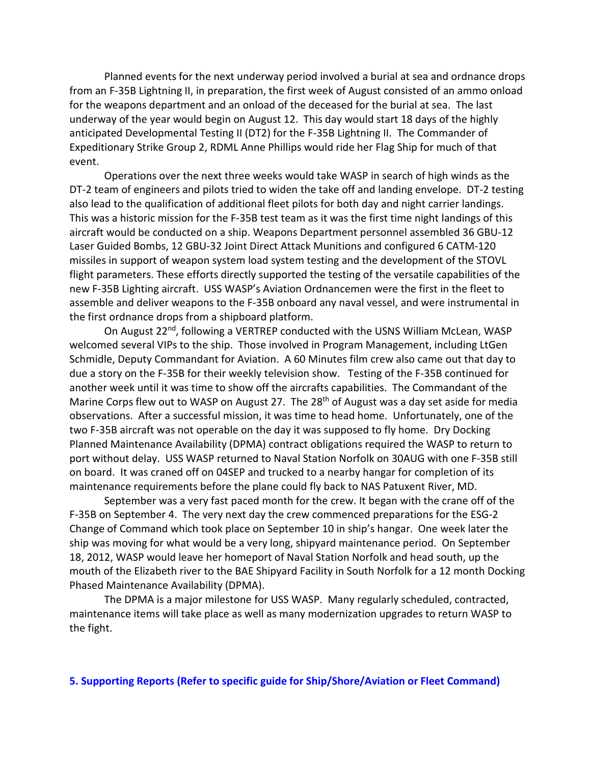Planned events for the next underway period involved a burial at sea and ordnance drops from an F-35B Lightning II, in preparation, the first week of August consisted of an ammo onload for the weapons department and an onload of the deceased for the burial at sea. The last underway of the year would begin on August 12. This day would start 18 days of the highly anticipated Developmental Testing II (DT2) for the F-35B Lightning II. The Commander of Expeditionary Strike Group 2, RDML Anne Phillips would ride her Flag Ship for much of that event.

Operations over the next three weeks would take WASP in search of high winds as the DT-2 team of engineers and pilots tried to widen the take off and landing envelope. DT-2 testing also lead to the qualification of additional fleet pilots for both day and night carrier landings. This was a historic mission for the F-35B test team as it was the first time night landings of this aircraft would be conducted on a ship. Weapons Department personnel assembled 36 GBU-12 Laser Guided Bombs, 12 GBU-32 Joint Direct Attack Munitions and configured 6 CATM-120 missiles in support of weapon system load system testing and the development of the STOVL flight parameters. These efforts directly supported the testing of the versatile capabilities of the new F-35B Lighting aircraft. USS WASP's Aviation Ordnancemen were the first in the fleet to assemble and deliver weapons to the F-35B onboard any naval vessel, and were instrumental in the first ordnance drops from a shipboard platform.

On August 22<sup>nd</sup>, following a VERTREP conducted with the USNS William McLean, WASP welcomed several VIPs to the ship. Those involved in Program Management, including LtGen Schmidle, Deputy Commandant for Aviation. A 60 Minutes film crew also came out that day to due a story on the F-35B for their weekly television show. Testing of the F-35B continued for another week until it was time to show off the aircrafts capabilities. The Commandant of the Marine Corps flew out to WASP on August 27. The 28<sup>th</sup> of August was a day set aside for media observations. After a successful mission, it was time to head home. Unfortunately, one of the two F-35B aircraft was not operable on the day it was supposed to fly home. Dry Docking Planned Maintenance Availability (DPMA) contract obligations required the WASP to return to port without delay. USS WASP returned to Naval Station Norfolk on 30AUG with one F-35B still on board. It was craned off on 04SEP and trucked to a nearby hangar for completion of its maintenance requirements before the plane could fly back to NAS Patuxent River, MD.

September was a very fast paced month for the crew. It began with the crane off of the F-35B on September 4. The very next day the crew commenced preparations for the ESG-2 Change of Command which took place on September 10 in ship's hangar. One week later the ship was moving for what would be a very long, shipyard maintenance period. On September 18, 2012, WASP would leave her homeport of Naval Station Norfolk and head south, up the mouth of the Elizabeth river to the BAE Shipyard Facility in South Norfolk for a 12 month Docking Phased Maintenance Availability (DPMA).

The DPMA is a major milestone for USS WASP. Many regularly scheduled, contracted, maintenance items will take place as well as many modernization upgrades to return WASP to the fight.

#### **5. Supporting Reports (Refer to specific guide for Ship/Shore/Aviation or Fleet Command)**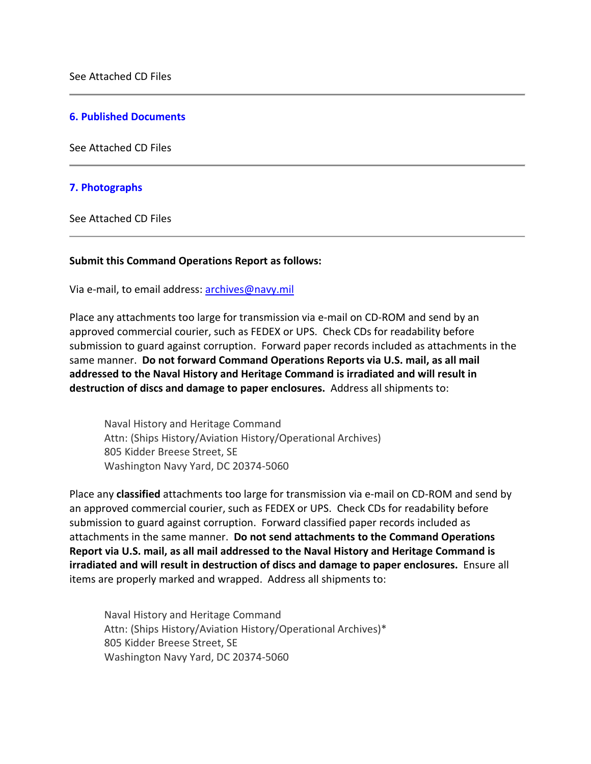#### **6. Published Documents**

See Attached CD Files

#### **7. Photographs**

See Attached CD Files

#### **Submit this Command Operations Report as follows:**

Via e-mail, to email address: archives@navy.mil

Place any attachments too large for transmission via e-mail on CD-ROM and send by an approved commercial courier, such as FEDEX or UPS. Check CDs for readability before submission to guard against corruption. Forward paper records included as attachments in the same manner. **Do not forward Command Operations Reports via U.S. mail, as all mail addressed to the Naval History and Heritage Command is irradiated and will result in destruction of discs and damage to paper enclosures.** Address all shipments to:

Naval History and Heritage Command Attn: (Ships History/Aviation History/Operational Archives) 805 Kidder Breese Street, SE Washington Navy Yard, DC 20374-5060

Place any **classified** attachments too large for transmission via e-mail on CD-ROM and send by an approved commercial courier, such as FEDEX or UPS. Check CDs for readability before submission to guard against corruption. Forward classified paper records included as attachments in the same manner. **Do not send attachments to the Command Operations Report via U.S. mail, as all mail addressed to the Naval History and Heritage Command is irradiated and will result in destruction of discs and damage to paper enclosures.** Ensure all items are properly marked and wrapped. Address all shipments to:

Naval History and Heritage Command Attn: (Ships History/Aviation History/Operational Archives)\* 805 Kidder Breese Street, SE Washington Navy Yard, DC 20374-5060